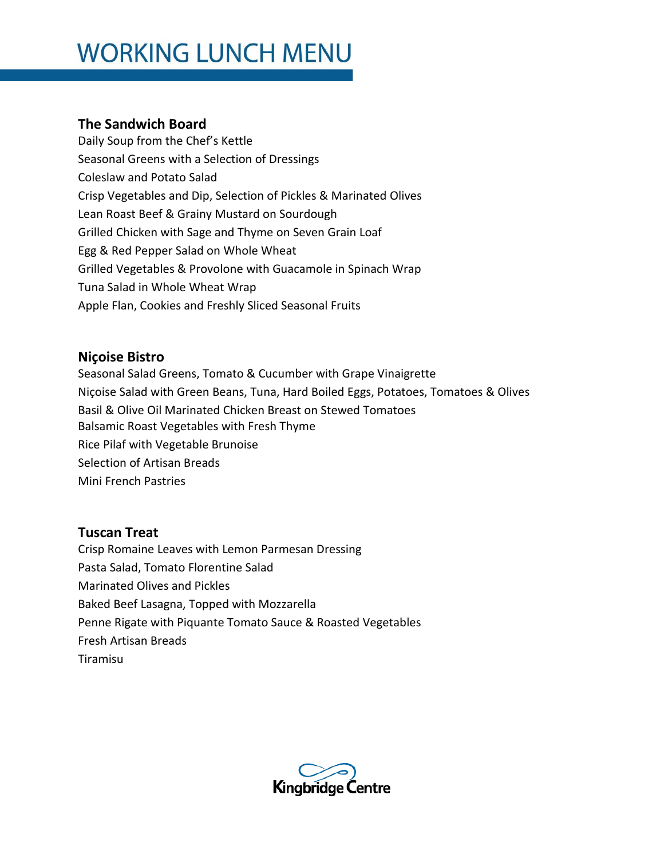# **WORKING LUNCH MENU**

### **The Sandwich Board**

Daily Soup from the Chef's Kettle Seasonal Greens with a Selection of Dressings Coleslaw and Potato Salad Crisp Vegetables and Dip, Selection of Pickles & Marinated Olives Lean Roast Beef & Grainy Mustard on Sourdough Grilled Chicken with Sage and Thyme on Seven Grain Loaf Egg & Red Pepper Salad on Whole Wheat Grilled Vegetables & Provolone with Guacamole in Spinach Wrap Tuna Salad in Whole Wheat Wrap Apple Flan, Cookies and Freshly Sliced Seasonal Fruits

#### **Niçoise Bistro**

Seasonal Salad Greens, Tomato & Cucumber with Grape Vinaigrette Niçoise Salad with Green Beans, Tuna, Hard Boiled Eggs, Potatoes, Tomatoes & Olives Basil & Olive Oil Marinated Chicken Breast on Stewed Tomatoes Balsamic Roast Vegetables with Fresh Thyme Rice Pilaf with Vegetable Brunoise Selection of Artisan Breads Mini French Pastries

#### **Tuscan Treat**

Crisp Romaine Leaves with Lemon Parmesan Dressing Pasta Salad, Tomato Florentine Salad Marinated Olives and Pickles Baked Beef Lasagna, Topped with Mozzarella Penne Rigate with Piquante Tomato Sauce & Roasted Vegetables Fresh Artisan Breads Tiramisu